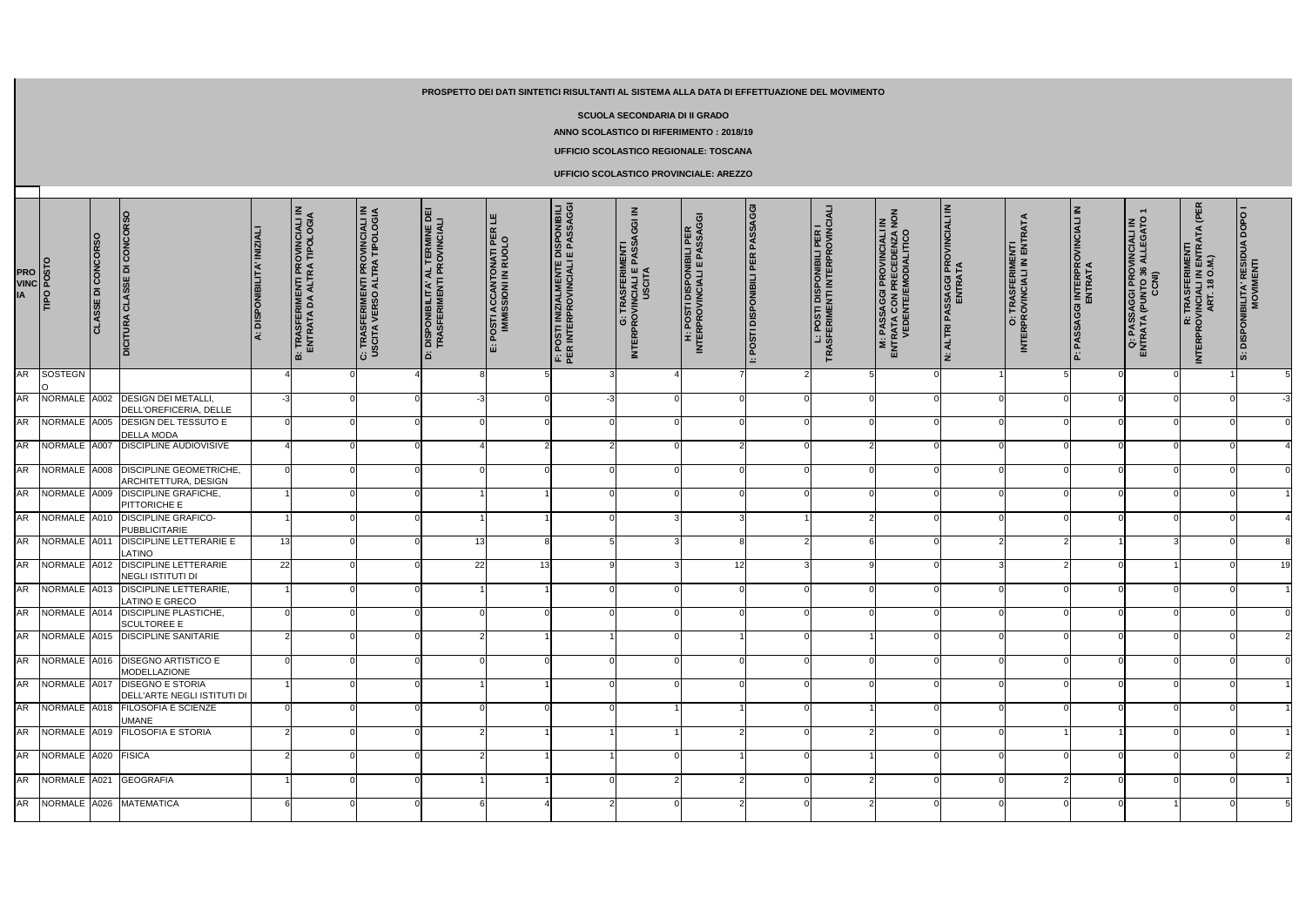| PRO<br>VINC<br>IA<br>TIPO POSTO |                        | CLASSE DI CONCORSO | DICITURA CLASSE DI CONCORSO                                        | A: DISPONIBILITA' INIZIAL | B: TRASFERIMENTI PROVINCIALI IN<br>ENTRATA DA ALTRA TIPOLOGIA | C: TRASFERIMENTI PROVINCIALI IN<br>USCITA VERSO ALTRA TIPOLOGIA | <b>D: DISPONIBILITA' AL TERMINE DEI<br/>TRASFERIMENTI PROVINCIALI</b> | E: POSTI ACCANTONATI PER LE<br>IMMISSIONI IN RUOLO | F: POSTI INIZIALMENTE DISPONIBILI<br>PER INTERPROVINCIALI E PASSAGGI | $\leq$<br><b>G: TRASFERIMENTI<br/>INTERPROVINCIALI E PASSAGGI</b><br>USCITA | <b>H: POSTI DISPONIBILI PER<br/>INTERPROVINCIALI E PASSAGGI</b> | POSTI DISPONIBILI PER PASSAGGI<br>$\equiv$ | L: POSTI DISPONIBILI PER I<br>TRASFERIMENTI INTERPROVINCIALI | <b>M: PASSAGGI PROVINCIALI IN<br/>ENTRATA CON PRECEDENZA NON<br/>VEDENTE/EMODIALITICO</b> | N: ALTRI PASSAGGI PROVINCIALI IN<br>ENTRATA | O: TRASFERIMENTI<br>INTERPROVINCIALI IN ENTRATA | P: PASSAGGI INTERPROVINCIALI IN<br>ENTRATA | Q: PASSAGGI PROVINCIALI IN<br>ENTRATA (PUNTO 36 ALLEGATO 1<br>CCNI) | (PER<br>R: TRASFERIMENTI<br>INTERPROVINCIALI IN ENTRATA<br>ART. 18 O.M.) | <b>S: DISPONIBILITA' RESIDUA DOPO I</b><br>MOVIMENTI |
|---------------------------------|------------------------|--------------------|--------------------------------------------------------------------|---------------------------|---------------------------------------------------------------|-----------------------------------------------------------------|-----------------------------------------------------------------------|----------------------------------------------------|----------------------------------------------------------------------|-----------------------------------------------------------------------------|-----------------------------------------------------------------|--------------------------------------------|--------------------------------------------------------------|-------------------------------------------------------------------------------------------|---------------------------------------------|-------------------------------------------------|--------------------------------------------|---------------------------------------------------------------------|--------------------------------------------------------------------------|------------------------------------------------------|
| <b>AR</b>                       | SOSTEGN                |                    |                                                                    |                           |                                                               |                                                                 |                                                                       |                                                    |                                                                      |                                                                             |                                                                 |                                            |                                                              |                                                                                           |                                             |                                                 |                                            |                                                                     |                                                                          |                                                      |
| <b>AR</b>                       | NORMALE A002           |                    | <b>DESIGN DEI METALLI,</b><br>DELL'OREFICERIA, DELLE               |                           |                                                               |                                                                 |                                                                       |                                                    |                                                                      |                                                                             |                                                                 |                                            |                                                              |                                                                                           |                                             |                                                 |                                            |                                                                     |                                                                          | $-3$                                                 |
| AR <sup>1</sup>                 | NORMALE A005           |                    | DESIGN DEL TESSUTO E<br><b>DELLA MODA</b>                          |                           |                                                               |                                                                 |                                                                       |                                                    |                                                                      |                                                                             |                                                                 |                                            |                                                              |                                                                                           |                                             |                                                 |                                            |                                                                     |                                                                          |                                                      |
|                                 | AR NORMALE A007        |                    | <b>DISCIPLINE AUDIOVISIVE</b>                                      |                           |                                                               |                                                                 |                                                                       |                                                    |                                                                      |                                                                             |                                                                 |                                            |                                                              |                                                                                           |                                             |                                                 |                                            |                                                                     |                                                                          |                                                      |
|                                 | AR NORMALE A008        |                    | <b>DISCIPLINE GEOMETRICHE</b><br>ARCHITETTURA, DESIGN              |                           |                                                               |                                                                 |                                                                       |                                                    |                                                                      |                                                                             |                                                                 |                                            |                                                              |                                                                                           |                                             |                                                 |                                            |                                                                     |                                                                          |                                                      |
|                                 | AR NORMALE A009        |                    | <b>DISCIPLINE GRAFICHE,</b><br>PITTORICHE E                        |                           |                                                               |                                                                 |                                                                       |                                                    |                                                                      |                                                                             |                                                                 |                                            |                                                              |                                                                                           |                                             |                                                 |                                            |                                                                     |                                                                          |                                                      |
|                                 | AR NORMALE A010        |                    | <b>DISCIPLINE GRAFICO-</b><br><b>PUBBLICITARIE</b>                 |                           |                                                               |                                                                 |                                                                       |                                                    |                                                                      |                                                                             |                                                                 |                                            |                                                              |                                                                                           |                                             |                                                 |                                            |                                                                     |                                                                          |                                                      |
| <b>AR</b>                       | NORMALE A011           |                    | <b>DISCIPLINE LETTERARIE E</b>                                     | 13 <sup>l</sup>           |                                                               |                                                                 | 13                                                                    |                                                    |                                                                      |                                                                             |                                                                 |                                            |                                                              |                                                                                           |                                             |                                                 |                                            |                                                                     |                                                                          |                                                      |
| <b>AR</b>                       | NORMALE A012           |                    | LATINO<br><b>DISCIPLINE LETTERARIE</b><br><b>NEGLI ISTITUTI DI</b> | 22                        |                                                               |                                                                 | 22                                                                    | 13                                                 |                                                                      |                                                                             | 12 <sub>l</sub>                                                 |                                            |                                                              |                                                                                           |                                             |                                                 |                                            |                                                                     |                                                                          | 19                                                   |
|                                 |                        |                    | AR NORMALE A013 DISCIPLINE LETTERARIE,                             |                           |                                                               |                                                                 |                                                                       |                                                    |                                                                      |                                                                             |                                                                 |                                            |                                                              |                                                                                           |                                             |                                                 |                                            |                                                                     |                                                                          |                                                      |
|                                 | AR NORMALE A014        |                    | <b>LATINO E GRECO</b><br><b>DISCIPLINE PLASTICHE,</b>              |                           |                                                               |                                                                 |                                                                       |                                                    |                                                                      |                                                                             |                                                                 | ΩI                                         |                                                              |                                                                                           |                                             |                                                 |                                            |                                                                     |                                                                          |                                                      |
|                                 |                        |                    | <b>SCULTOREE E</b><br>AR NORMALE A015 DISCIPLINE SANITARIE         |                           |                                                               |                                                                 |                                                                       |                                                    |                                                                      |                                                                             |                                                                 |                                            |                                                              |                                                                                           |                                             |                                                 |                                            |                                                                     |                                                                          |                                                      |
|                                 |                        |                    | AR NORMALE A016 DISEGNO ARTISTICO E                                |                           |                                                               |                                                                 |                                                                       |                                                    |                                                                      |                                                                             |                                                                 |                                            |                                                              |                                                                                           |                                             |                                                 |                                            |                                                                     |                                                                          |                                                      |
|                                 |                        |                    | MODELLAZIONE<br>AR NORMALE A017 DISEGNO E STORIA                   |                           |                                                               | ΟI                                                              |                                                                       |                                                    |                                                                      |                                                                             |                                                                 | $\overline{0}$                             |                                                              | 0                                                                                         | 0                                           | $\Omega$                                        |                                            |                                                                     |                                                                          |                                                      |
|                                 |                        |                    | DELL'ARTE NEGLI ISTITUTI DI<br>AR NORMALE A018 FILOSOFIA E SCIENZE |                           |                                                               |                                                                 |                                                                       |                                                    |                                                                      |                                                                             |                                                                 |                                            |                                                              |                                                                                           |                                             |                                                 |                                            |                                                                     |                                                                          |                                                      |
|                                 |                        |                    | <b>UMANE</b><br>AR NORMALE A019 FILOSOFIA E STORIA                 |                           |                                                               |                                                                 |                                                                       |                                                    |                                                                      |                                                                             |                                                                 |                                            |                                                              |                                                                                           |                                             |                                                 |                                            |                                                                     |                                                                          |                                                      |
|                                 | AR NORMALE A020 FISICA |                    |                                                                    |                           |                                                               |                                                                 |                                                                       |                                                    |                                                                      |                                                                             |                                                                 |                                            |                                                              |                                                                                           |                                             |                                                 |                                            |                                                                     |                                                                          |                                                      |
|                                 |                        |                    | AR NORMALE A021 GEOGRAFIA                                          |                           |                                                               |                                                                 |                                                                       |                                                    |                                                                      |                                                                             |                                                                 |                                            |                                                              |                                                                                           |                                             |                                                 |                                            |                                                                     |                                                                          |                                                      |
|                                 |                        |                    |                                                                    |                           |                                                               |                                                                 |                                                                       |                                                    |                                                                      |                                                                             |                                                                 |                                            |                                                              |                                                                                           |                                             |                                                 |                                            |                                                                     |                                                                          |                                                      |
|                                 |                        |                    | AR NORMALE A026 MATEMATICA                                         |                           |                                                               |                                                                 |                                                                       |                                                    |                                                                      |                                                                             |                                                                 |                                            |                                                              |                                                                                           |                                             |                                                 |                                            |                                                                     |                                                                          |                                                      |

## **PROSPETTO DEI DATI SINTETICI RISULTANTI AL SISTEMA ALLA DATA DI EFFETTUAZIONE DEL MOVIMENTO**

## **SCUOLA SECONDARIA DI II GRADO**

**ANNO SCOLASTICO DI RIFERIMENTO : 2018/19**

## **UFFICIO SCOLASTICO REGIONALE: TOSCANA**

## **UFFICIO SCOLASTICO PROVINCIALE: AREZZO**

 $\Box$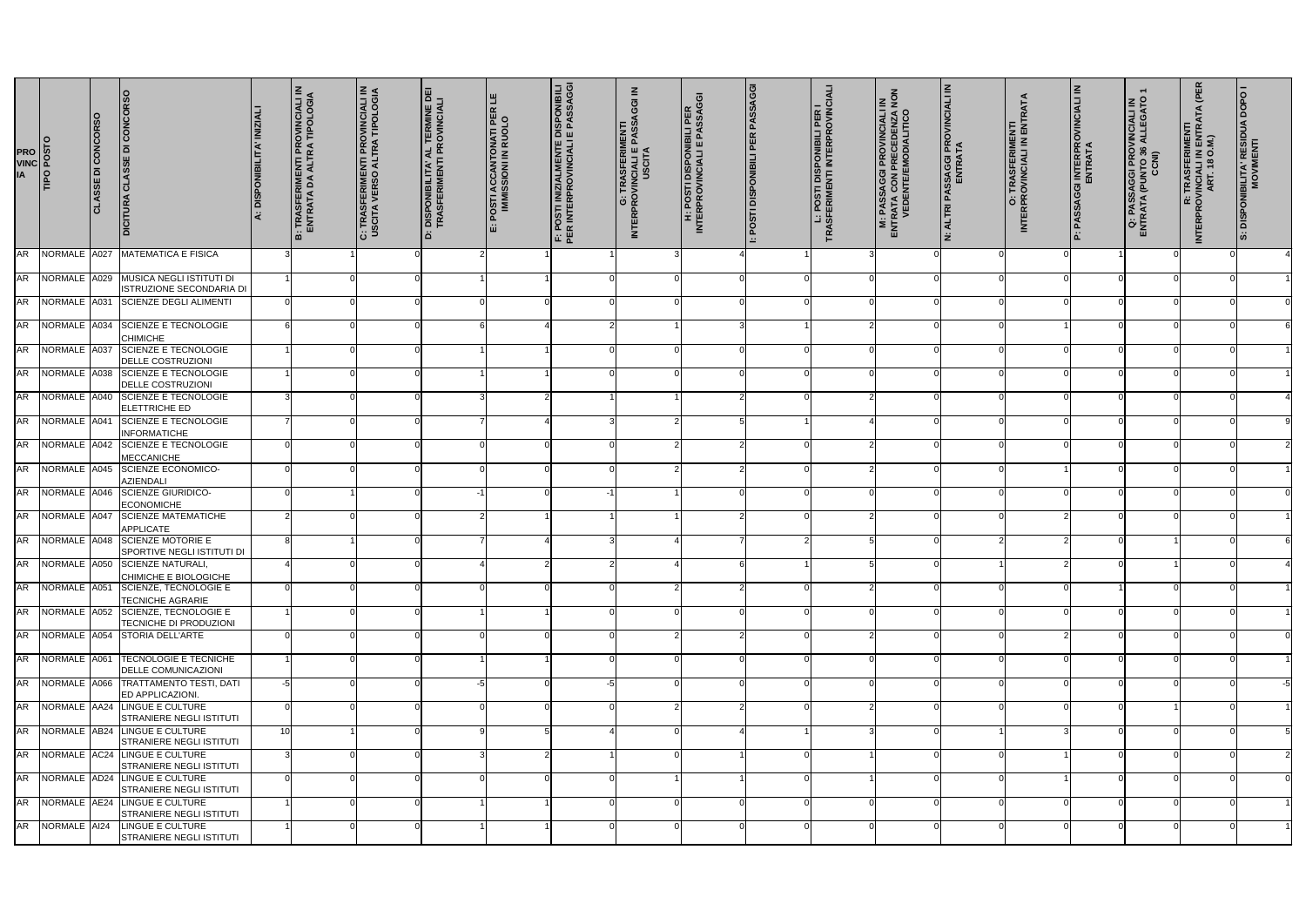| <b>PROVIDED</b><br>TIPO POSTO<br>TIPO POSTO |                 | <b>CLASSE DI CONCORSO</b> | <b>DICITURA CLASSE DI CONCORSO</b>                                     | A: DISPONIBILITA' INIZIALI | B: TRASFERIMENTI PROVINCIALI IN<br>ENTRATA DA ALTRA TIPOLOGIA | C: TRASFERIMENTI PROVINCIALI IN<br>USCITA VERSO ALTRA TIPOLOGIA | D: DISPONIBILITA' AL TERMINE DEI<br>TRASFERIMENTI PROVINCIALI | E: POSTI ACCANTONATI PER LE<br>IMMISSIONI IN RUOLO | F: POSTI INIZIALMENTE DISPONIBILI<br>PER INTERPROVINCIALI E PASSAGGI | <b>G: TRASFERIMENTI<br/>INTERPROVINCIALI E PASSAGGI IN</b><br>USCITA | H: POSTI DISPONIBILI PER<br>INTERPROVINCIALI E PASSAGGI | POSTI DISPONIBILI PER PASSAGGI<br>i as | <b>L: POSTI DISPONIBILI PER I<br/>TRASFERIMENTI INTERPROVINCIALI</b> | $\leq \frac{2}{5}$<br><b>M: PASSAGGI PROVINCIALI<br/>ENTRATA CON PRECEDENZA<br/>VEDENTE/EMODIALITICO</b> | N: ALTRI PASSAGGI PROVINCIALI IN<br>ENTRATA | O: TRASFERIMENTI<br>INTERPROVINCIALI IN ENTRATA | P: PASSAGGI INTERPROVINCIALI IN<br>ENTRATA | $\overline{\phantom{0}}$<br>Q: PASSAGGI PROVINCIALI IN<br>ENTRATA (PUNTO 36 ALLEGATO<br>CCNI) | (PER<br>R: TRASFERIMENTI<br>INTERPROVINCIALI IN ENTRATA<br>ART. 18 O.M.) | <b>S: DISPONIBILITA' RESIDUA DOPO I</b><br>MOVIMENTI |
|---------------------------------------------|-----------------|---------------------------|------------------------------------------------------------------------|----------------------------|---------------------------------------------------------------|-----------------------------------------------------------------|---------------------------------------------------------------|----------------------------------------------------|----------------------------------------------------------------------|----------------------------------------------------------------------|---------------------------------------------------------|----------------------------------------|----------------------------------------------------------------------|----------------------------------------------------------------------------------------------------------|---------------------------------------------|-------------------------------------------------|--------------------------------------------|-----------------------------------------------------------------------------------------------|--------------------------------------------------------------------------|------------------------------------------------------|
| <b>AR</b>                                   | NORMALE A027    |                           | <b>MATEMATICA E FISICA</b>                                             |                            |                                                               |                                                                 |                                                               |                                                    |                                                                      |                                                                      |                                                         |                                        |                                                                      |                                                                                                          |                                             |                                                 |                                            |                                                                                               |                                                                          |                                                      |
| <b>AR</b>                                   | NORMALE A029    |                           | MUSICA NEGLI ISTITUTI DI<br>ISTRUZIONE SECONDARIA DI                   |                            |                                                               |                                                                 |                                                               |                                                    |                                                                      |                                                                      |                                                         |                                        |                                                                      |                                                                                                          |                                             |                                                 |                                            |                                                                                               |                                                                          |                                                      |
| <b>AR</b>                                   | NORMALE A031    |                           | <b>SCIENZE DEGLI ALIMENTI</b>                                          |                            |                                                               |                                                                 |                                                               |                                                    |                                                                      |                                                                      |                                                         |                                        |                                                                      |                                                                                                          |                                             |                                                 |                                            |                                                                                               |                                                                          |                                                      |
| <b>AR</b>                                   | NORMALE A034    |                           | <b>SCIENZE E TECNOLOGIE</b>                                            |                            |                                                               |                                                                 |                                                               |                                                    |                                                                      |                                                                      |                                                         |                                        |                                                                      |                                                                                                          |                                             |                                                 |                                            |                                                                                               |                                                                          |                                                      |
| <b>AR</b>                                   | NORMALE A037    |                           | <b>CHIMICHE</b><br><b>SCIENZE E TECNOLOGIE</b>                         |                            |                                                               |                                                                 |                                                               |                                                    |                                                                      |                                                                      |                                                         |                                        |                                                                      |                                                                                                          |                                             |                                                 |                                            |                                                                                               |                                                                          |                                                      |
| <b>AR</b>                                   | NORMALE A038    |                           | DELLE COSTRUZIONI<br>SCIENZE E TECNOLOGIE                              |                            |                                                               |                                                                 |                                                               |                                                    |                                                                      |                                                                      |                                                         |                                        |                                                                      |                                                                                                          |                                             |                                                 |                                            |                                                                                               |                                                                          |                                                      |
| <b>AR</b>                                   | NORMALE A040    |                           | DELLE COSTRUZIONI<br><b>SCIENZE E TECNOLOGIE</b>                       |                            |                                                               |                                                                 |                                                               |                                                    |                                                                      |                                                                      |                                                         |                                        |                                                                      |                                                                                                          |                                             |                                                 |                                            |                                                                                               |                                                                          |                                                      |
| <b>AR</b>                                   | NORMALE A041    |                           | <b>ELETTRICHE ED</b><br><b>SCIENZE E TECNOLOGIE</b>                    |                            |                                                               |                                                                 |                                                               |                                                    |                                                                      |                                                                      |                                                         |                                        |                                                                      |                                                                                                          |                                             |                                                 |                                            |                                                                                               |                                                                          |                                                      |
| <b>AR</b>                                   | NORMALE A042    |                           | <b>INFORMATICHE</b><br>SCIENZE E TECNOLOGIE                            |                            |                                                               |                                                                 |                                                               |                                                    |                                                                      |                                                                      |                                                         |                                        |                                                                      |                                                                                                          | ∩                                           |                                                 |                                            |                                                                                               |                                                                          |                                                      |
| <b>AR</b>                                   | NORMALE A045    |                           | MECCANICHE<br><b>SCIENZE ECONOMICO-</b>                                |                            |                                                               |                                                                 |                                                               |                                                    |                                                                      |                                                                      |                                                         |                                        |                                                                      |                                                                                                          |                                             |                                                 |                                            |                                                                                               |                                                                          |                                                      |
|                                             |                 |                           | <b>AZIENDALI</b>                                                       |                            |                                                               |                                                                 |                                                               |                                                    |                                                                      |                                                                      |                                                         |                                        |                                                                      |                                                                                                          |                                             |                                                 |                                            |                                                                                               |                                                                          |                                                      |
| <b>AR</b>                                   | NORMALE A046    |                           | <b>SCIENZE GIURIDICO-</b><br><b>ECONOMICHE</b>                         |                            |                                                               |                                                                 |                                                               |                                                    |                                                                      |                                                                      |                                                         |                                        |                                                                      |                                                                                                          |                                             |                                                 |                                            |                                                                                               |                                                                          |                                                      |
| <b>AR</b>                                   | NORMALE A047    |                           | <b>SCIENZE MATEMATICHE</b><br><b>APPLICATE</b>                         |                            |                                                               |                                                                 |                                                               |                                                    |                                                                      |                                                                      |                                                         |                                        |                                                                      |                                                                                                          |                                             |                                                 |                                            |                                                                                               |                                                                          |                                                      |
| <b>AR</b>                                   | NORMALE A048    |                           | <b>SCIENZE MOTORIE E</b><br>SPORTIVE NEGLI ISTITUTI DI                 |                            |                                                               |                                                                 |                                                               |                                                    |                                                                      |                                                                      |                                                         |                                        |                                                                      |                                                                                                          |                                             |                                                 |                                            |                                                                                               |                                                                          |                                                      |
|                                             |                 |                           | AR NORMALE A050 SCIENZE NATURALI,<br>CHIMICHE E BIOLOGICHE             |                            |                                                               | ΩI                                                              |                                                               |                                                    |                                                                      |                                                                      |                                                         |                                        | 51                                                                   |                                                                                                          |                                             |                                                 |                                            |                                                                                               |                                                                          |                                                      |
| <b>AR</b>                                   |                 |                           | NORMALE 4051 SCIENZE, TECNOLOGIE E<br><b>TECNICHE AGRARIE</b>          |                            |                                                               |                                                                 |                                                               |                                                    |                                                                      |                                                                      |                                                         |                                        |                                                                      |                                                                                                          |                                             |                                                 |                                            |                                                                                               |                                                                          |                                                      |
|                                             |                 |                           | AR NORMALE A052 SCIENZE, TECNOLOGIE E<br><b>TECNICHE DI PRODUZIONI</b> |                            |                                                               |                                                                 |                                                               |                                                    |                                                                      |                                                                      |                                                         |                                        |                                                                      |                                                                                                          |                                             |                                                 |                                            |                                                                                               |                                                                          |                                                      |
|                                             |                 |                           | AR NORMALE A054 STORIA DELL'ARTE                                       |                            |                                                               |                                                                 |                                                               |                                                    |                                                                      |                                                                      |                                                         |                                        |                                                                      |                                                                                                          |                                             |                                                 |                                            |                                                                                               |                                                                          |                                                      |
|                                             |                 |                           | AR NORMALE A061 TECNOLOGIE E TECNICHE<br><b>DELLE COMUNICAZIONI</b>    |                            |                                                               |                                                                 |                                                               |                                                    |                                                                      |                                                                      |                                                         |                                        |                                                                      |                                                                                                          |                                             |                                                 |                                            |                                                                                               |                                                                          |                                                      |
|                                             | AR NORMALE A066 |                           | <b>TRATTAMENTO TESTI, DATI</b>                                         |                            |                                                               |                                                                 |                                                               |                                                    |                                                                      |                                                                      |                                                         |                                        |                                                                      |                                                                                                          |                                             |                                                 |                                            |                                                                                               |                                                                          |                                                      |
|                                             |                 |                           | ED APPLICAZIONI.<br>AR NORMALE AA24 LINGUE E CULTURE                   |                            |                                                               |                                                                 |                                                               |                                                    |                                                                      |                                                                      |                                                         |                                        |                                                                      |                                                                                                          |                                             |                                                 |                                            |                                                                                               |                                                                          |                                                      |
|                                             |                 |                           | STRANIERE NEGLI ISTITUTI<br>AR NORMALE AB24 LINGUE E CULTURE           | 10                         |                                                               |                                                                 |                                                               |                                                    |                                                                      |                                                                      |                                                         |                                        |                                                                      |                                                                                                          |                                             |                                                 |                                            |                                                                                               |                                                                          |                                                      |
|                                             | AR NORMALE AC24 |                           | STRANIERE NEGLI ISTITUTI<br><b>LINGUE E CULTURE</b>                    |                            |                                                               |                                                                 |                                                               |                                                    |                                                                      |                                                                      |                                                         |                                        |                                                                      |                                                                                                          |                                             |                                                 |                                            |                                                                                               |                                                                          |                                                      |
|                                             |                 |                           | STRANIERE NEGLI ISTITUTI<br>AR NORMALE AD24 LINGUE E CULTURE           |                            |                                                               |                                                                 |                                                               |                                                    |                                                                      |                                                                      |                                                         |                                        |                                                                      |                                                                                                          |                                             |                                                 |                                            |                                                                                               |                                                                          |                                                      |
|                                             |                 |                           | STRANIERE NEGLI ISTITUTI<br>AR NORMALE AE24 LINGUE E CULTURE           |                            |                                                               |                                                                 |                                                               |                                                    |                                                                      |                                                                      |                                                         |                                        |                                                                      |                                                                                                          |                                             |                                                 |                                            |                                                                                               |                                                                          |                                                      |
|                                             | AR NORMALE AI24 |                           | STRANIERE NEGLI ISTITUTI<br>LINGUE E CULTURE                           |                            |                                                               |                                                                 |                                                               |                                                    |                                                                      |                                                                      |                                                         |                                        |                                                                      |                                                                                                          |                                             |                                                 |                                            |                                                                                               |                                                                          |                                                      |
|                                             |                 |                           | <b>STRANIERE NEGLI ISTITUTI</b>                                        |                            |                                                               |                                                                 |                                                               |                                                    |                                                                      |                                                                      |                                                         |                                        |                                                                      |                                                                                                          |                                             |                                                 |                                            |                                                                                               |                                                                          |                                                      |